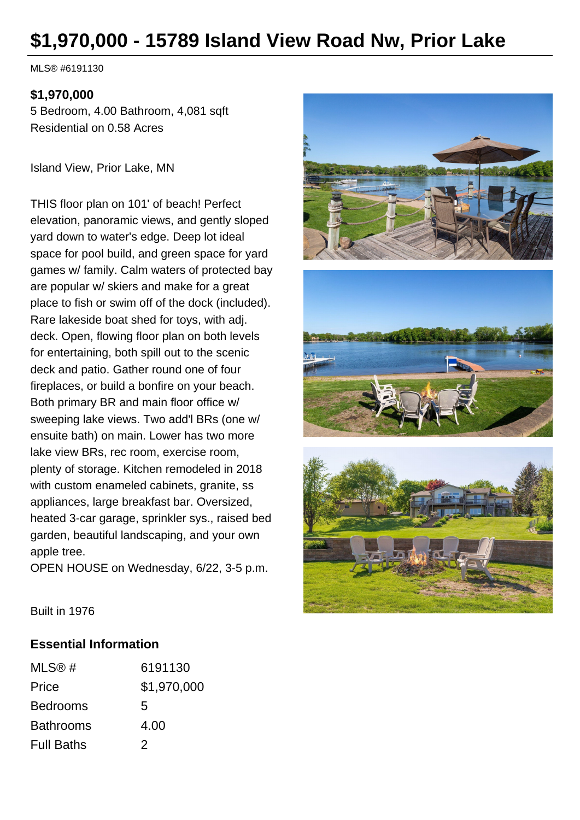# **\$1,970,000 - 15789 Island View Road Nw, Prior Lake**

MLS® #6191130

#### **\$1,970,000**

5 Bedroom, 4.00 Bathroom, 4,081 sqft Residential on 0.58 Acres

Island View, Prior Lake, MN

THIS floor plan on 101' of beach! Perfect elevation, panoramic views, and gently sloped yard down to water's edge. Deep lot ideal space for pool build, and green space for yard games w/ family. Calm waters of protected bay are popular w/ skiers and make for a great place to fish or swim off of the dock (included). Rare lakeside boat shed for toys, with adj. deck. Open, flowing floor plan on both levels for entertaining, both spill out to the scenic deck and patio. Gather round one of four fireplaces, or build a bonfire on your beach. Both primary BR and main floor office w/ sweeping lake views. Two add'l BRs (one w/ ensuite bath) on main. Lower has two more lake view BRs, rec room, exercise room, plenty of storage. Kitchen remodeled in 2018 with custom enameled cabinets, granite, ss appliances, large breakfast bar. Oversized, heated 3-car garage, sprinkler sys., raised bed garden, beautiful landscaping, and your own apple tree.

OPEN HOUSE on Wednesday, 6/22, 3-5 p.m.







Built in 1976

#### **Essential Information**

| MLS@#             | 6191130     |
|-------------------|-------------|
| Price             | \$1,970,000 |
| <b>Bedrooms</b>   | 5           |
| <b>Bathrooms</b>  | 4.00        |
| <b>Full Baths</b> | 2           |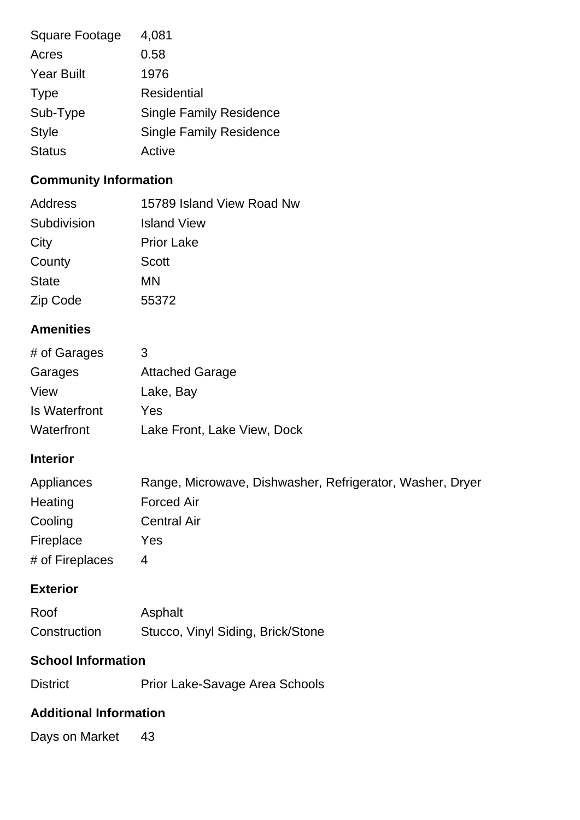| <b>Square Footage</b> | 4,081                          |
|-----------------------|--------------------------------|
| Acres                 | 0.58                           |
| <b>Year Built</b>     | 1976                           |
| <b>Type</b>           | Residential                    |
| Sub-Type              | <b>Single Family Residence</b> |
| <b>Style</b>          | <b>Single Family Residence</b> |
| <b>Status</b>         | Active                         |

# **Community Information**

| Address      | 15789 Island View Road Nw |
|--------------|---------------------------|
| Subdivision  | <b>Island View</b>        |
| City         | <b>Prior Lake</b>         |
| County       | <b>Scott</b>              |
| <b>State</b> | MN                        |
| Zip Code     | 55372                     |

# **Amenities**

| # of Garages  | 3                           |
|---------------|-----------------------------|
| Garages       | <b>Attached Garage</b>      |
| View          | Lake, Bay                   |
| Is Waterfront | Yes                         |
| Waterfront    | Lake Front, Lake View, Dock |

### **Interior**

| Appliances      | Range, Microwave, Dishwasher, Refrigerator, Washer, Dryer |
|-----------------|-----------------------------------------------------------|
| Heating         | <b>Forced Air</b>                                         |
| Cooling         | <b>Central Air</b>                                        |
| Fireplace       | Yes                                                       |
| # of Fireplaces | 4                                                         |

#### **Exterior**

| Roof         | Asphalt                           |
|--------------|-----------------------------------|
| Construction | Stucco, Vinyl Siding, Brick/Stone |

## **School Information**

| <b>District</b> | Prior Lake-Savage Area Schools |
|-----------------|--------------------------------|
|-----------------|--------------------------------|

#### **Additional Information**

Days on Market 43